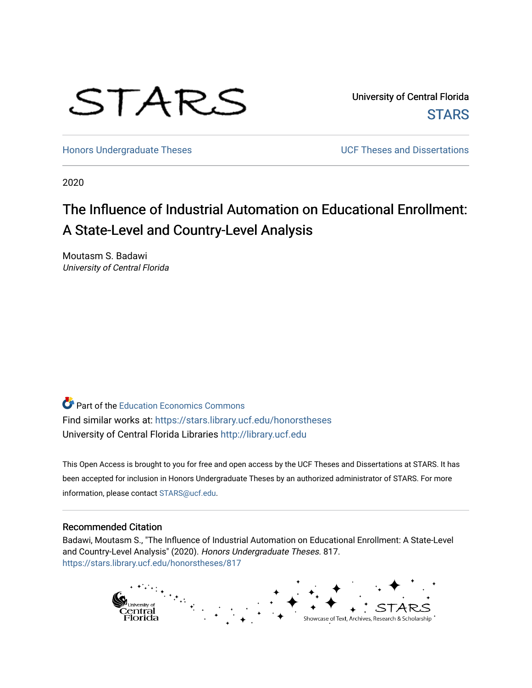

University of Central Florida **STARS** 

[Honors Undergraduate Theses](https://stars.library.ucf.edu/honorstheses) **Exercise 2 and Serverse** UCF Theses and Dissertations

2020

# The Influence of Industrial Automation on Educational Enrollment: A State-Level and Country-Level Analysis

Moutasm S. Badawi University of Central Florida

Part of the [Education Economics Commons](http://network.bepress.com/hgg/discipline/1262?utm_source=stars.library.ucf.edu%2Fhonorstheses%2F817&utm_medium=PDF&utm_campaign=PDFCoverPages)  Find similar works at: <https://stars.library.ucf.edu/honorstheses> University of Central Florida Libraries [http://library.ucf.edu](http://library.ucf.edu/) 

This Open Access is brought to you for free and open access by the UCF Theses and Dissertations at STARS. It has been accepted for inclusion in Honors Undergraduate Theses by an authorized administrator of STARS. For more information, please contact [STARS@ucf.edu.](mailto:STARS@ucf.edu)

#### Recommended Citation

Badawi, Moutasm S., "The Influence of Industrial Automation on Educational Enrollment: A State-Level and Country-Level Analysis" (2020). Honors Undergraduate Theses. 817. [https://stars.library.ucf.edu/honorstheses/817](https://stars.library.ucf.edu/honorstheses/817?utm_source=stars.library.ucf.edu%2Fhonorstheses%2F817&utm_medium=PDF&utm_campaign=PDFCoverPages) 

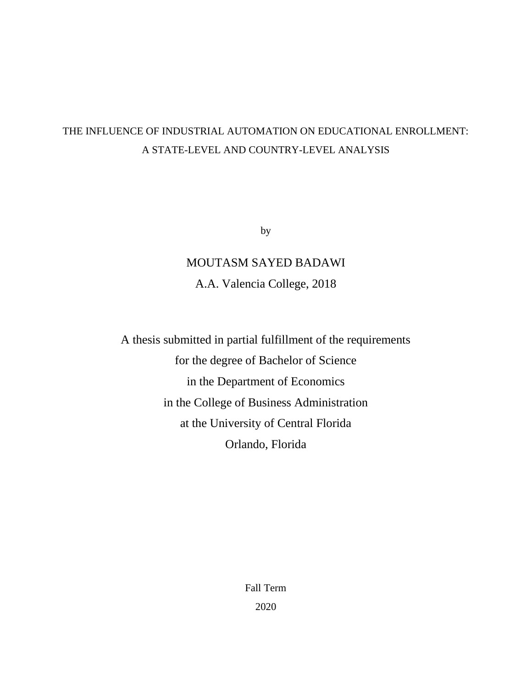## THE INFLUENCE OF INDUSTRIAL AUTOMATION ON EDUCATIONAL ENROLLMENT: A STATE-LEVEL AND COUNTRY-LEVEL ANALYSIS

by

# MOUTASM SAYED BADAWI A.A. Valencia College, 2018

A thesis submitted in partial fulfillment of the requirements for the degree of Bachelor of Science in the Department of Economics in the College of Business Administration at the University of Central Florida Orlando, Florida

> Fall Term 2020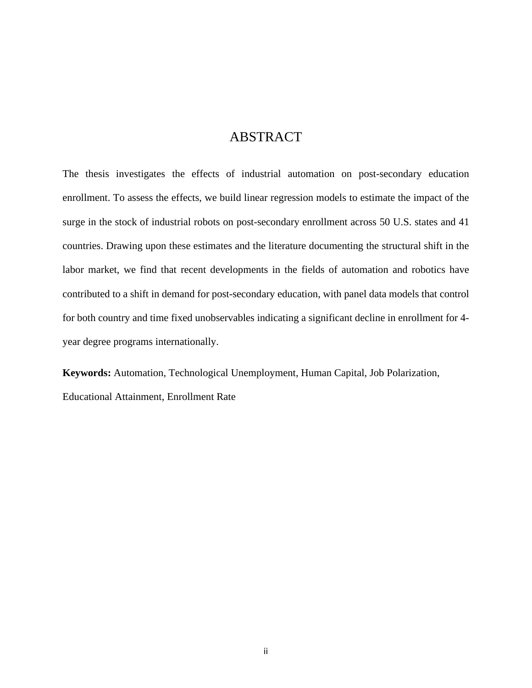## **ABSTRACT**

The thesis investigates the effects of industrial automation on post-secondary education enrollment. To assess the effects, we build linear regression models to estimate the impact of the surge in the stock of industrial robots on post-secondary enrollment across 50 U.S. states and 41 countries. Drawing upon these estimates and the literature documenting the structural shift in the labor market, we find that recent developments in the fields of automation and robotics have contributed to a shift in demand for post-secondary education, with panel data models that control for both country and time fixed unobservables indicating a significant decline in enrollment for 4 year degree programs internationally.

**Keywords:** Automation, Technological Unemployment, Human Capital, Job Polarization, Educational Attainment, Enrollment Rate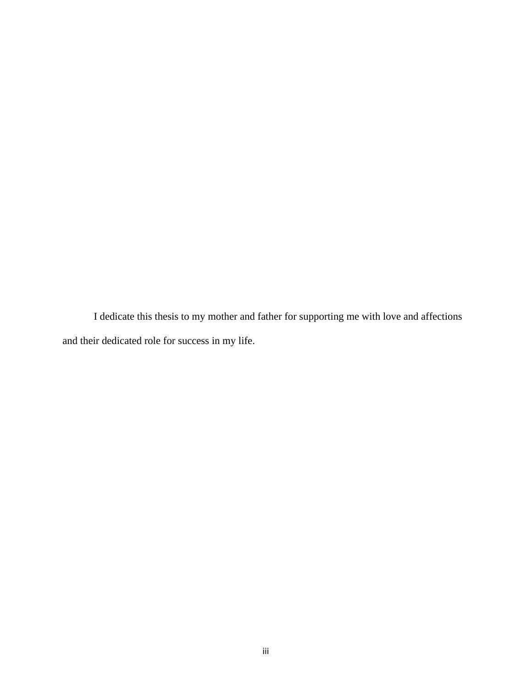I dedicate this thesis to my mother and father for supporting me with love and affections and their dedicated role for success in my life.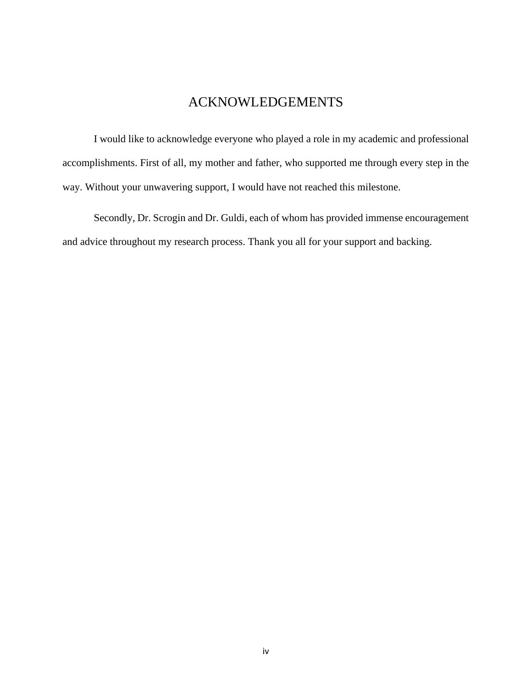## ACKNOWLEDGEMENTS

I would like to acknowledge everyone who played a role in my academic and professional accomplishments. First of all, my mother and father, who supported me through every step in the way. Without your unwavering support, I would have not reached this milestone.

Secondly, Dr. Scrogin and Dr. Guldi, each of whom has provided immense encouragement and advice throughout my research process. Thank you all for your support and backing.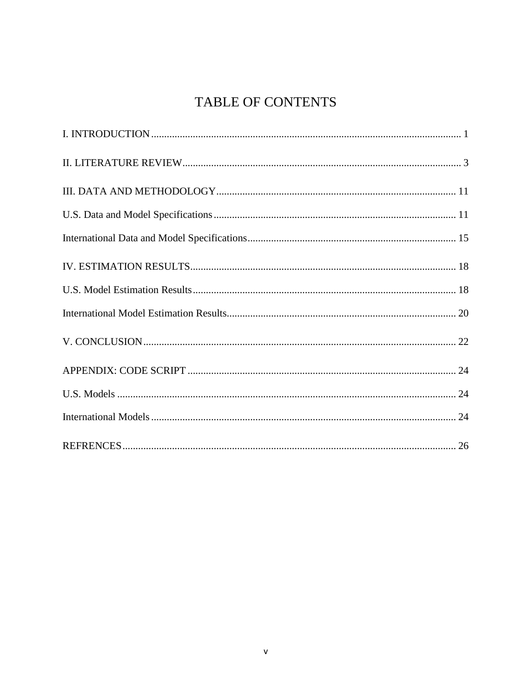# TABLE OF CONTENTS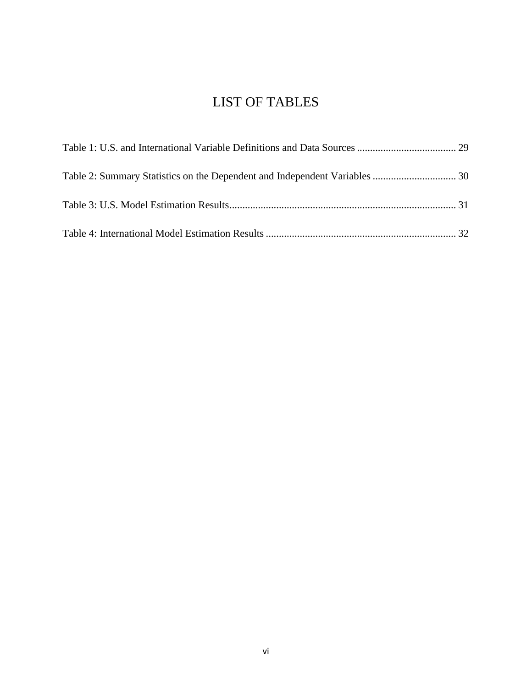## LIST OF TABLES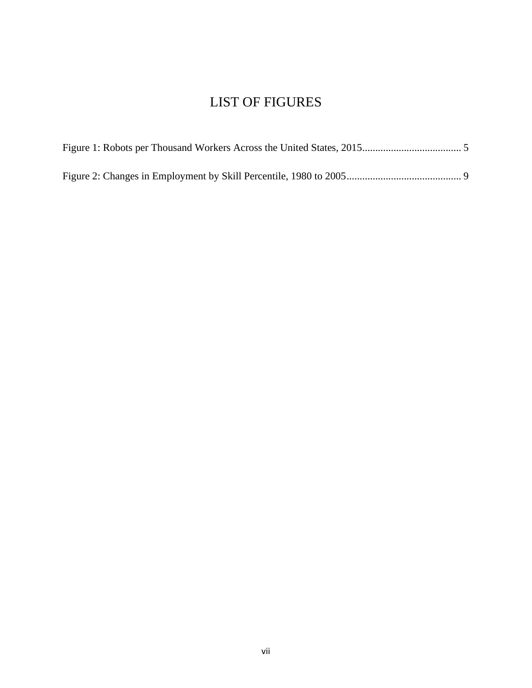## LIST OF FIGURES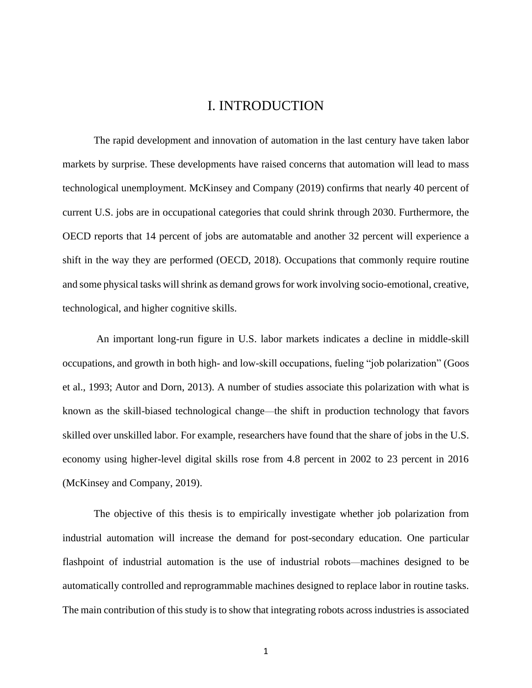## I. INTRODUCTION

<span id="page-8-0"></span>The rapid development and innovation of automation in the last century have taken labor markets by surprise. These developments have raised concerns that automation will lead to mass technological unemployment. McKinsey and Company (2019) confirms that nearly 40 percent of current U.S. jobs are in occupational categories that could shrink through 2030. Furthermore, the OECD reports that 14 percent of jobs are automatable and another 32 percent will experience a shift in the way they are performed (OECD, 2018). Occupations that commonly require routine and some physical tasks will shrink as demand grows for work involving socio-emotional, creative, technological, and higher cognitive skills.

An important long-run figure in U.S. labor markets indicates a decline in middle-skill occupations, and growth in both high- and low-skill occupations, fueling "job polarization" (Goos et al., 1993; Autor and Dorn, 2013). A number of studies associate this polarization with what is known as the skill-biased technological change—the shift in production technology that favors skilled over unskilled labor. For example, researchers have found that the share of jobs in the U.S. economy using higher-level digital skills rose from 4.8 percent in 2002 to 23 percent in 2016 (McKinsey and Company, 2019).

The objective of this thesis is to empirically investigate whether job polarization from industrial automation will increase the demand for post-secondary education. One particular flashpoint of industrial automation is the use of industrial robots—machines designed to be automatically controlled and reprogrammable machines designed to replace labor in routine tasks. The main contribution of this study is to show that integrating robots across industries is associated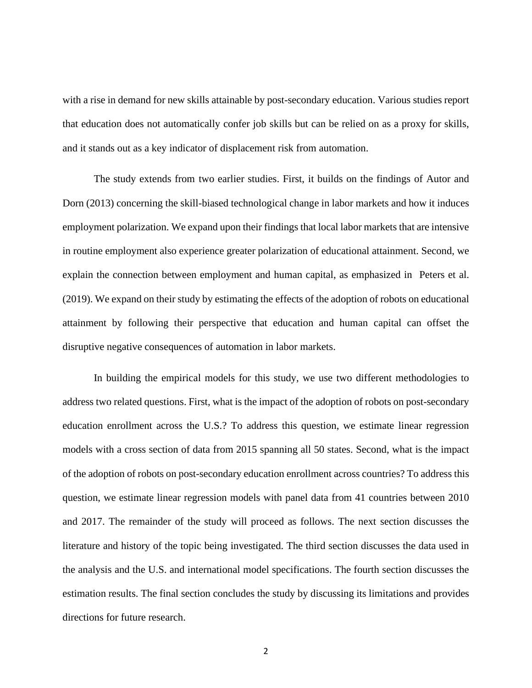with a rise in demand for new skills attainable by post-secondary education. Various studies report that education does not automatically confer job skills but can be relied on as a proxy for skills, and it stands out as a key indicator of displacement risk from automation.

The study extends from two earlier studies. First, it builds on the findings of Autor and Dorn (2013) concerning the skill-biased technological change in labor markets and how it induces employment polarization. We expand upon their findings that local labor markets that are intensive in routine employment also experience greater polarization of educational attainment. Second, we explain the connection between employment and human capital, as emphasized in Peters et al. (2019). We expand on their study by estimating the effects of the adoption of robots on educational attainment by following their perspective that education and human capital can offset the disruptive negative consequences of automation in labor markets.

In building the empirical models for this study, we use two different methodologies to address two related questions. First, what is the impact of the adoption of robots on post-secondary education enrollment across the U.S.? To address this question, we estimate linear regression models with a cross section of data from 2015 spanning all 50 states. Second, what is the impact of the adoption of robots on post-secondary education enrollment across countries? To address this question, we estimate linear regression models with panel data from 41 countries between 2010 and 2017. The remainder of the study will proceed as follows. The next section discusses the literature and history of the topic being investigated. The third section discusses the data used in the analysis and the U.S. and international model specifications. The fourth section discusses the estimation results. The final section concludes the study by discussing its limitations and provides directions for future research.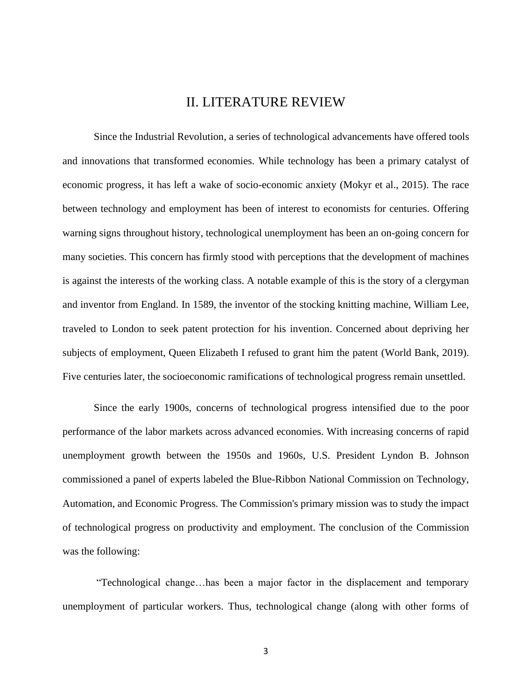### II. LITERATURE REVIEW

<span id="page-10-0"></span>Since the Industrial Revolution, a series of technological advancements have offered tools and innovations that transformed economies. While technology has been a primary catalyst of economic progress, it has left a wake of socio-economic anxiety (Mokyr et al., 2015). The race between technology and employment has been of interest to economists for centuries. Offering warning signs throughout history, technological unemployment has been an on-going concern for many societies. This concern has firmly stood with perceptions that the development of machines is against the interests of the working class. A notable example of this is the story of a clergyman and inventor from England. In 1589, the inventor of the stocking knitting machine, William Lee, traveled to London to seek patent protection for his invention. Concerned about depriving her subjects of employment, Queen Elizabeth I refused to grant him the patent (World Bank, 2019). Five centuries later, the socioeconomic ramifications of technological progress remain unsettled.

Since the early 1900s, concerns of technological progress intensified due to the poor performance of the labor markets across advanced economies. With increasing concerns of rapid unemployment growth between the 1950s and 1960s, U.S. President Lyndon B. Johnson commissioned a panel of experts labeled the Blue-Ribbon National Commission on Technology, Automation, and Economic Progress. The Commission's primary mission was to study the impact of technological progress on productivity and employment. The conclusion of the Commission was the following:

"Technological change…has been a major factor in the displacement and temporary unemployment of particular workers. Thus, technological change (along with other forms of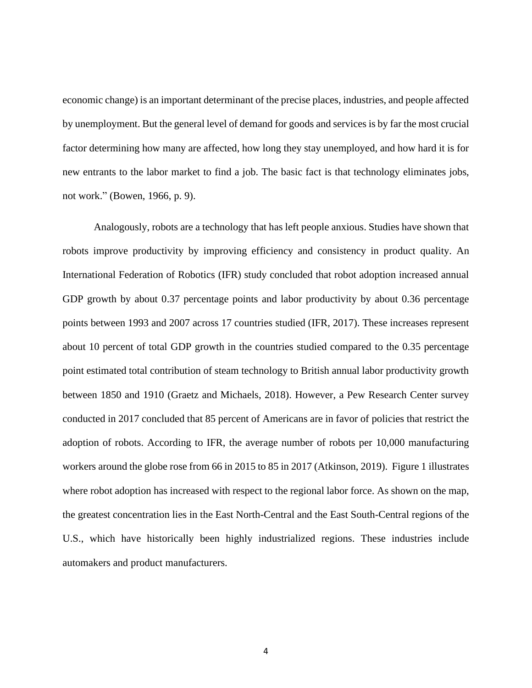economic change) is an important determinant of the precise places, industries, and people affected by unemployment. But the general level of demand for goods and services is by far the most crucial factor determining how many are affected, how long they stay unemployed, and how hard it is for new entrants to the labor market to find a job. The basic fact is that technology eliminates jobs, not work." (Bowen, 1966, p. 9).

Analogously, robots are a technology that has left people anxious. Studies have shown that robots improve productivity by improving efficiency and consistency in product quality. An International Federation of Robotics (IFR) study concluded that robot adoption increased annual GDP growth by about 0.37 percentage points and labor productivity by about 0.36 percentage points between 1993 and 2007 across 17 countries studied (IFR, 2017). These increases represent about 10 percent of total GDP growth in the countries studied compared to the 0.35 percentage point estimated total contribution of steam technology to British annual labor productivity growth between 1850 and 1910 (Graetz and Michaels, 2018). However, a Pew Research Center survey conducted in 2017 concluded that 85 percent of Americans are in favor of policies that restrict the adoption of robots. According to IFR, the average number of robots per 10,000 manufacturing workers around the globe rose from 66 in 2015 to 85 in 2017 (Atkinson, 2019). Figure 1 illustrates where robot adoption has increased with respect to the regional labor force. As shown on the map, the greatest concentration lies in the East North-Central and the East South-Central regions of the U.S., which have historically been highly industrialized regions. These industries include automakers and product manufacturers.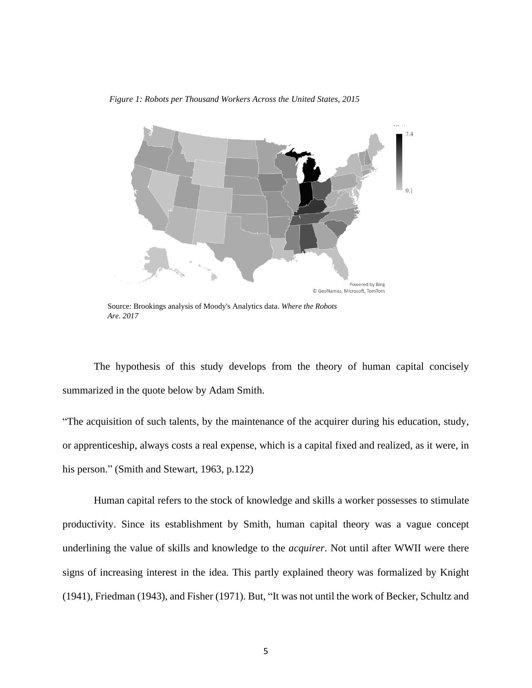Figure 1: Robots per Thousand Workers Across the United States, 2015 *Figure 1: Robots per Thousand Workers Across the United States, 2015*



Source: Brookings analysis of Moody's Analytics data. *Where the Robots Are. 2017*

The hypothesis of this study develops from the theory of human capital concisely summarized in the quote below by Adam Smith.

"The acquisition of such talents, by the maintenance of the acquirer during his education, study, or apprenticeship, always costs a real expense, which is a capital fixed and realized, as it were, in his person." (Smith and Stewart, 1963, p.122)

Human capital refers to the stock of knowledge and skills a worker possesses to stimulate productivity. Since its establishment by Smith, human capital theory was a vague concept underlining the value of skills and knowledge to the *acquirer*. Not until after WWII were there signs of increasing interest in the idea. This partly explained theory was formalized by Knight (1941), Friedman (1943), and Fisher (1971). But, "It was not until the work of Becker, Schultz and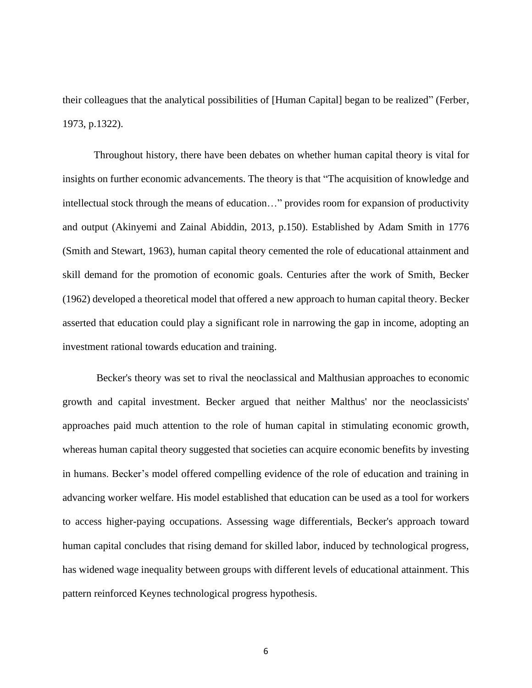their colleagues that the analytical possibilities of [Human Capital] began to be realized" (Ferber, 1973, p.1322).

Throughout history, there have been debates on whether human capital theory is vital for insights on further economic advancements. The theory is that "The acquisition of knowledge and intellectual stock through the means of education…" provides room for expansion of productivity and output (Akinyemi and Zainal Abiddin, 2013, p.150). Established by Adam Smith in 1776 (Smith and Stewart, 1963), human capital theory cemented the role of educational attainment and skill demand for the promotion of economic goals. Centuries after the work of Smith, Becker (1962) developed a theoretical model that offered a new approach to human capital theory. Becker asserted that education could play a significant role in narrowing the gap in income, adopting an investment rational towards education and training.

Becker's theory was set to rival the neoclassical and Malthusian approaches to economic growth and capital investment. Becker argued that neither Malthus' nor the neoclassicists' approaches paid much attention to the role of human capital in stimulating economic growth, whereas human capital theory suggested that societies can acquire economic benefits by investing in humans. Becker's model offered compelling evidence of the role of education and training in advancing worker welfare. His model established that education can be used as a tool for workers to access higher-paying occupations. Assessing wage differentials, Becker's approach toward human capital concludes that rising demand for skilled labor, induced by technological progress, has widened wage inequality between groups with different levels of educational attainment. This pattern reinforced Keynes technological progress hypothesis.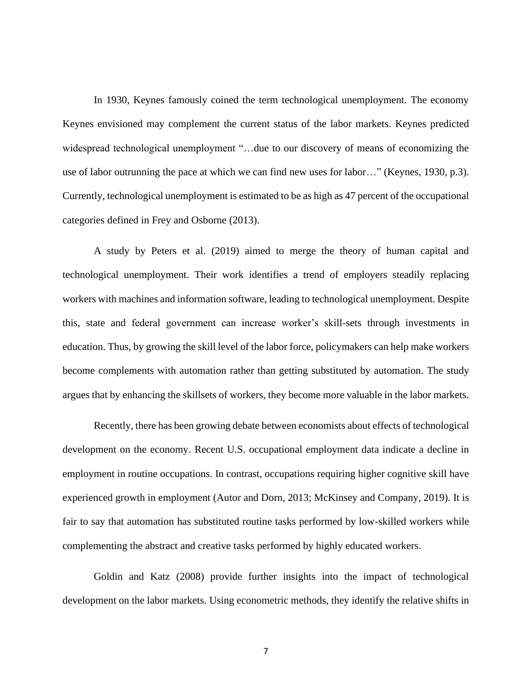In 1930, Keynes famously coined the term technological unemployment. The economy Keynes envisioned may complement the current status of the labor markets. Keynes predicted widespread technological unemployment "…due to our discovery of means of economizing the use of labor outrunning the pace at which we can find new uses for labor…" (Keynes, 1930, p.3). Currently, technological unemployment is estimated to be as high as 47 percent of the occupational categories defined in Frey and Osborne (2013).

A study by Peters et al. (2019) aimed to merge the theory of human capital and technological unemployment. Their work identifies a trend of employers steadily replacing workers with machines and information software, leading to technological unemployment. Despite this, state and federal government can increase worker's skill-sets through investments in education. Thus, by growing the skill level of the labor force, policymakers can help make workers become complements with automation rather than getting substituted by automation. The study argues that by enhancing the skillsets of workers, they become more valuable in the labor markets.

Recently, there has been growing debate between economists about effects of technological development on the economy. Recent U.S. occupational employment data indicate a decline in employment in routine occupations. In contrast, occupations requiring higher cognitive skill have experienced growth in employment (Autor and Dorn, 2013; McKinsey and Company, 2019). It is fair to say that automation has substituted routine tasks performed by low-skilled workers while complementing the abstract and creative tasks performed by highly educated workers.

Goldin and Katz (2008) provide further insights into the impact of technological development on the labor markets. Using econometric methods, they identify the relative shifts in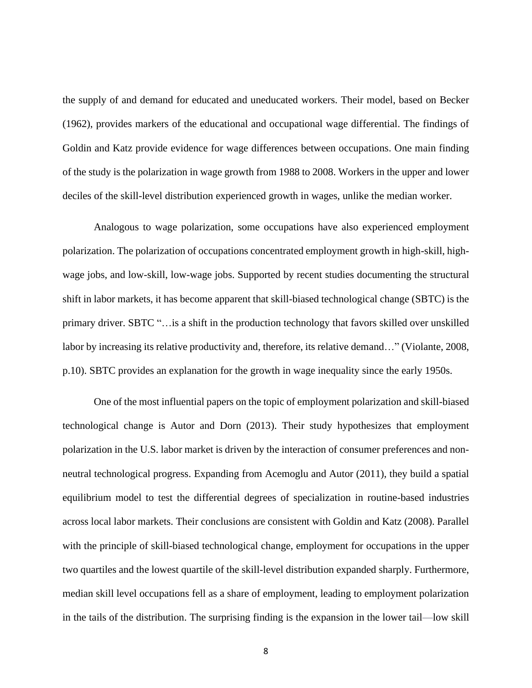the supply of and demand for educated and uneducated workers. Their model, based on Becker (1962), provides markers of the educational and occupational wage differential. The findings of Goldin and Katz provide evidence for wage differences between occupations. One main finding of the study is the polarization in wage growth from 1988 to 2008. Workers in the upper and lower deciles of the skill-level distribution experienced growth in wages, unlike the median worker.

Analogous to wage polarization, some occupations have also experienced employment polarization. The polarization of occupations concentrated employment growth in high-skill, highwage jobs, and low-skill, low-wage jobs. Supported by recent studies documenting the structural shift in labor markets, it has become apparent that skill-biased technological change (SBTC) is the primary driver. SBTC "…is a shift in the production technology that favors skilled over unskilled labor by increasing its relative productivity and, therefore, its relative demand…" (Violante, 2008, p.10). SBTC provides an explanation for the growth in wage inequality since the early 1950s.

One of the most influential papers on the topic of employment polarization and skill-biased technological change is Autor and Dorn (2013). Their study hypothesizes that employment polarization in the U.S. labor market is driven by the interaction of consumer preferences and nonneutral technological progress. Expanding from Acemoglu and Autor (2011), they build a spatial equilibrium model to test the differential degrees of specialization in routine-based industries across local labor markets. Their conclusions are consistent with Goldin and Katz (2008). Parallel with the principle of skill-biased technological change, employment for occupations in the upper two quartiles and the lowest quartile of the skill-level distribution expanded sharply. Furthermore, median skill level occupations fell as a share of employment, leading to employment polarization in the tails of the distribution. The surprising finding is the expansion in the lower tail—low skill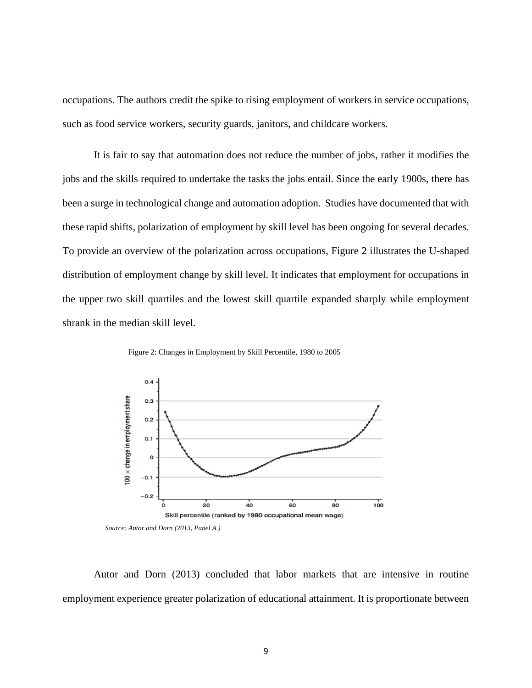occupations. The authors credit the spike to rising employment of workers in service occupations, such as food service workers, security guards, janitors, and childcare workers.

It is fair to say that automation does not reduce the number of jobs, rather it modifies the jobs and the skills required to undertake the tasks the jobs entail. Since the early 1900s, there has been a surge in technological change and automation adoption. Studies have documented that with these rapid shifts, polarization of employment by skill level has been ongoing for several decades. To provide an overview of the polarization across occupations, Figure 2 illustrates the U-shaped distribution of employment change by skill level. It indicates that employment for occupations in the upper two skill quartiles and the lowest skill quartile expanded sharply while employment shrank in the median skill level.



Figure 2: Changes in Employment by Skill Percentile, 1980 to 2005

Autor and Dorn (2013) concluded that labor markets that are intensive in routine employment experience greater polarization of educational attainment. It is proportionate between

*Source: Autor and Dorn (2013, Panel A.)*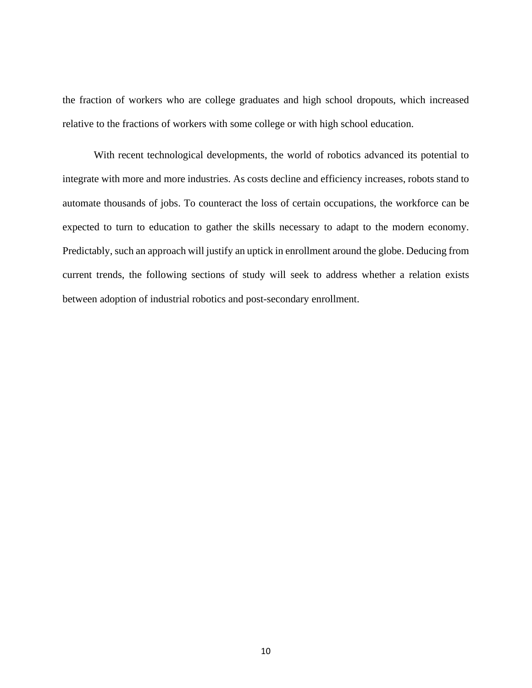the fraction of workers who are college graduates and high school dropouts, which increased relative to the fractions of workers with some college or with high school education.

With recent technological developments, the world of robotics advanced its potential to integrate with more and more industries. As costs decline and efficiency increases, robots stand to automate thousands of jobs. To counteract the loss of certain occupations, the workforce can be expected to turn to education to gather the skills necessary to adapt to the modern economy. Predictably, such an approach will justify an uptick in enrollment around the globe. Deducing from current trends, the following sections of study will seek to address whether a relation exists between adoption of industrial robotics and post-secondary enrollment.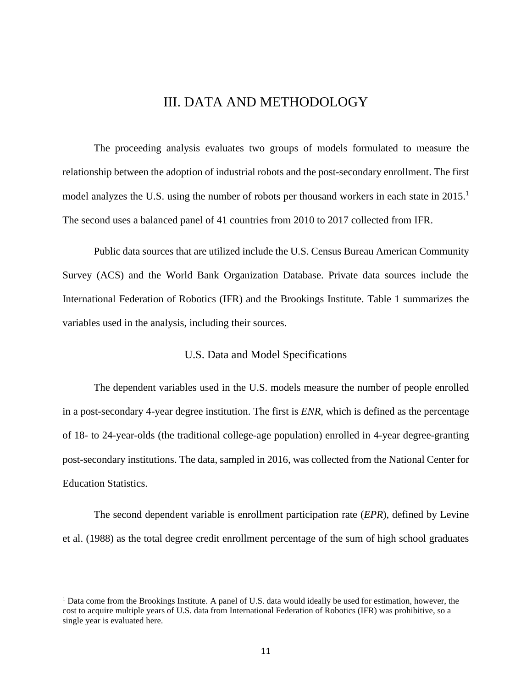### III. DATA AND METHODOLOGY

<span id="page-18-0"></span>The proceeding analysis evaluates two groups of models formulated to measure the relationship between the adoption of industrial robots and the post-secondary enrollment. The first model analyzes the U.S. using the number of robots per thousand workers in each state in 2015.<sup>1</sup> The second uses a balanced panel of 41 countries from 2010 to 2017 collected from IFR.

Public data sources that are utilized include the U.S. Census Bureau American Community Survey (ACS) and the World Bank Organization Database. Private data sources include the International Federation of Robotics (IFR) and the Brookings Institute. Table 1 summarizes the variables used in the analysis, including their sources.

#### U.S. Data and Model Specifications

<span id="page-18-1"></span>The dependent variables used in the U.S. models measure the number of people enrolled in a post-secondary 4-year degree institution. The first is *ENR*, which is defined as the percentage of 18- to 24-year-olds (the traditional college-age population) enrolled in 4-year degree-granting post-secondary institutions. The data, sampled in 2016, was collected from the National Center for Education Statistics.

The second dependent variable is enrollment participation rate (*EPR*), defined by Levine et al. (1988) as the total degree credit enrollment percentage of the sum of high school graduates

<sup>1</sup> Data come from the Brookings Institute. A panel of U.S. data would ideally be used for estimation, however, the cost to acquire multiple years of U.S. data from International Federation of Robotics (IFR) was prohibitive, so a single year is evaluated here.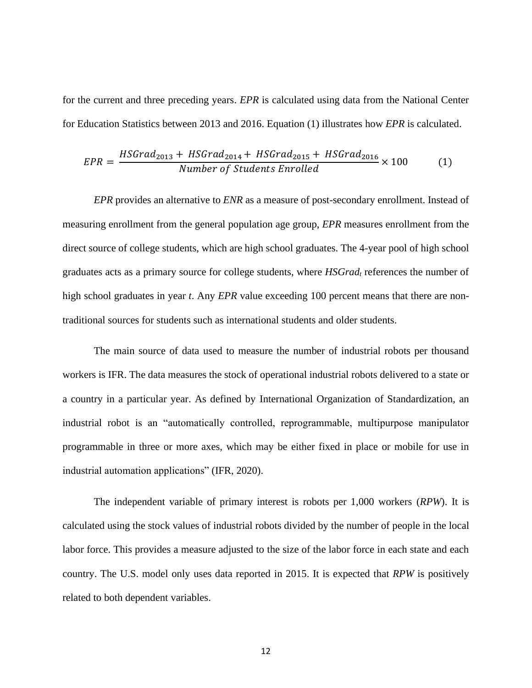for the current and three preceding years. *EPR* is calculated using data from the National Center for Education Statistics between 2013 and 2016. Equation (1) illustrates how *EPR* is calculated.

$$
EPR = \frac{HSGrad_{2013} + HSGrad_{2014} + HSGrad_{2015} + HSGrad_{2016}}{Number of Students Enrolled} \times 100
$$
 (1)

*EPR* provides an alternative to *ENR* as a measure of post-secondary enrollment. Instead of measuring enrollment from the general population age group, *EPR* measures enrollment from the direct source of college students, which are high school graduates. The 4-year pool of high school graduates acts as a primary source for college students, where *HSGrad<sup>t</sup>* references the number of high school graduates in year *t*. Any *EPR* value exceeding 100 percent means that there are nontraditional sources for students such as international students and older students.

The main source of data used to measure the number of industrial robots per thousand workers is IFR. The data measures the stock of operational industrial robots delivered to a state or a country in a particular year. As defined by International Organization of Standardization, an industrial robot is an "automatically controlled, reprogrammable, multipurpose manipulator programmable in three or more axes, which may be either fixed in place or mobile for use in industrial automation applications" (IFR, 2020).

The independent variable of primary interest is robots per 1,000 workers (*RPW*). It is calculated using the stock values of industrial robots divided by the number of people in the local labor force. This provides a measure adjusted to the size of the labor force in each state and each country. The U.S. model only uses data reported in 2015. It is expected that *RPW* is positively related to both dependent variables.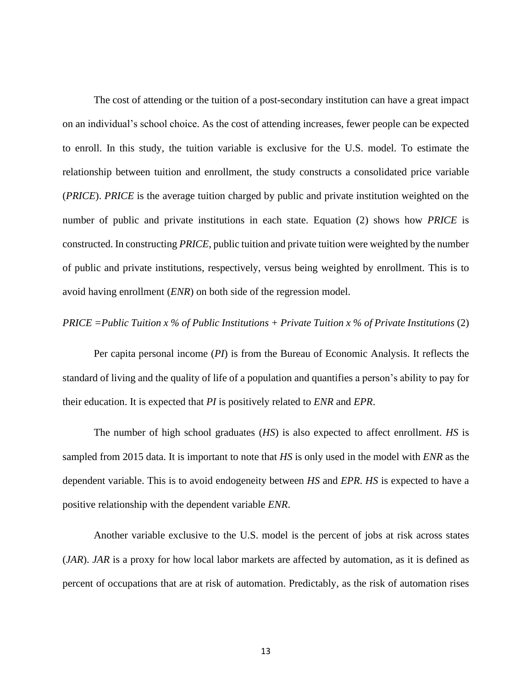The cost of attending or the tuition of a post-secondary institution can have a great impact on an individual's school choice. As the cost of attending increases, fewer people can be expected to enroll. In this study, the tuition variable is exclusive for the U.S. model. To estimate the relationship between tuition and enrollment, the study constructs a consolidated price variable (*PRICE*). *PRICE* is the average tuition charged by public and private institution weighted on the number of public and private institutions in each state. Equation (2) shows how *PRICE* is constructed. In constructing *PRICE*, public tuition and private tuition were weighted by the number of public and private institutions, respectively, versus being weighted by enrollment. This is to avoid having enrollment (*ENR*) on both side of the regression model.

#### *PRICE =Public Tuition x % of Public Institutions + Private Tuition x % of Private Institutions* (2)

Per capita personal income (*PI*) is from the Bureau of Economic Analysis. It reflects the standard of living and the quality of life of a population and quantifies a person's ability to pay for their education. It is expected that *PI* is positively related to *ENR* and *EPR*.

The number of high school graduates (*HS*) is also expected to affect enrollment. *HS* is sampled from 2015 data. It is important to note that *HS* is only used in the model with *ENR* as the dependent variable. This is to avoid endogeneity between *HS* and *EPR*. *HS* is expected to have a positive relationship with the dependent variable *ENR*.

Another variable exclusive to the U.S. model is the percent of jobs at risk across states (*JAR*). *JAR* is a proxy for how local labor markets are affected by automation, as it is defined as percent of occupations that are at risk of automation. Predictably, as the risk of automation rises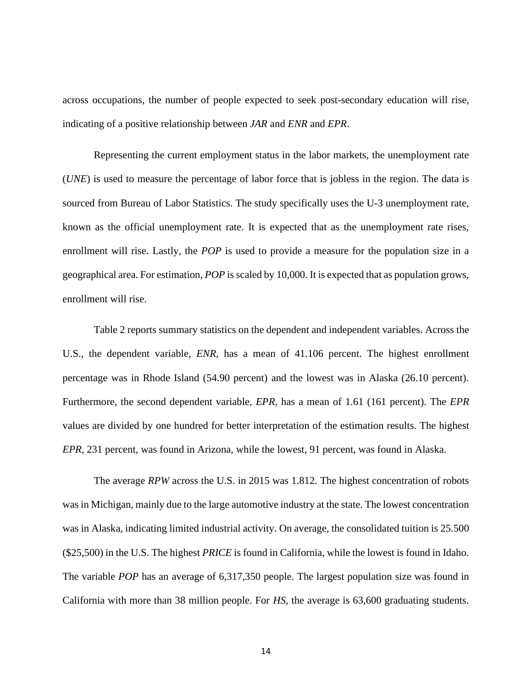across occupations, the number of people expected to seek post-secondary education will rise, indicating of a positive relationship between *JAR* and *ENR* and *EPR*.

Representing the current employment status in the labor markets, the unemployment rate (*UNE*) is used to measure the percentage of labor force that is jobless in the region. The data is sourced from Bureau of Labor Statistics. The study specifically uses the U-3 unemployment rate, known as the official unemployment rate. It is expected that as the unemployment rate rises, enrollment will rise. Lastly, the *POP* is used to provide a measure for the population size in a geographical area. For estimation, *POP* is scaled by 10,000. It is expected that as population grows, enrollment will rise.

Table 2 reports summary statistics on the dependent and independent variables. Across the U.S., the dependent variable, *ENR*, has a mean of 41.106 percent. The highest enrollment percentage was in Rhode Island (54.90 percent) and the lowest was in Alaska (26.10 percent). Furthermore, the second dependent variable, *EPR*, has a mean of 1.61 (161 percent). The *EPR* values are divided by one hundred for better interpretation of the estimation results. The highest *EPR*, 231 percent, was found in Arizona, while the lowest, 91 percent, was found in Alaska.

The average *RPW* across the U.S. in 2015 was 1.812. The highest concentration of robots was in Michigan, mainly due to the large automotive industry at the state. The lowest concentration was in Alaska, indicating limited industrial activity. On average, the consolidated tuition is 25.500 (\$25,500) in the U.S. The highest *PRICE* is found in California, while the lowest is found in Idaho. The variable *POP* has an average of 6,317,350 people. The largest population size was found in California with more than 38 million people. For *HS*, the average is 63,600 graduating students.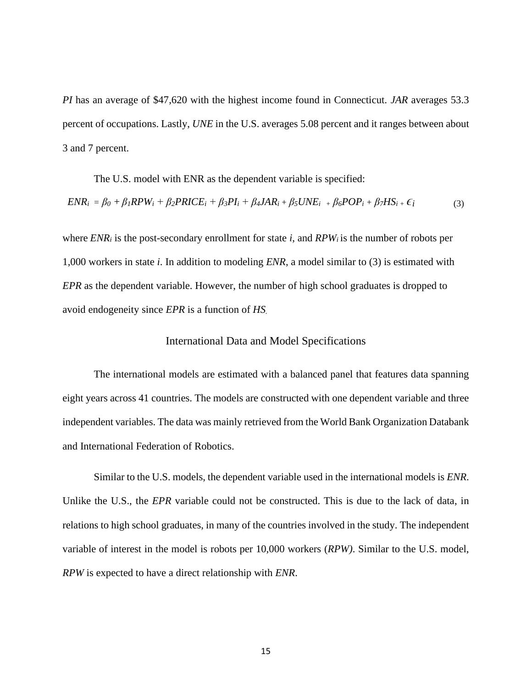*PI* has an average of \$47,620 with the highest income found in Connecticut. *JAR* averages 53.3 percent of occupations. Lastly, *UNE* in the U.S. averages 5.08 percent and it ranges between about 3 and 7 percent.

The U.S. model with ENR as the dependent variable is specified:  $ENR_i = \beta_0 + \beta_1 RPW_i + \beta_2 PRICE_i + \beta_3 PI_i + \beta_4 JAR_i + \beta_5 UNE_i + \beta_6 POP_i + \beta_7 HS_i + \epsilon_i$  (3)

where *ENR<sup>i</sup>* is the post-secondary enrollment for state *i*, and *RPW<sup>i</sup>* is the number of robots per 1,000 workers in state *i*. In addition to modeling *ENR*, a model similar to (3) is estimated with *EPR* as the dependent variable. However, the number of high school graduates is dropped to avoid endogeneity since *EPR* is a function of *HS.*

#### International Data and Model Specifications

<span id="page-22-0"></span>The international models are estimated with a balanced panel that features data spanning eight years across 41 countries. The models are constructed with one dependent variable and three independent variables. The data was mainly retrieved from the World Bank Organization Databank and International Federation of Robotics.

Similar to the U.S. models, the dependent variable used in the international models is *ENR*. Unlike the U.S., the *EPR* variable could not be constructed. This is due to the lack of data, in relations to high school graduates, in many of the countries involved in the study. The independent variable of interest in the model is robots per 10,000 workers (*RPW)*. Similar to the U.S. model, *RPW* is expected to have a direct relationship with *ENR*.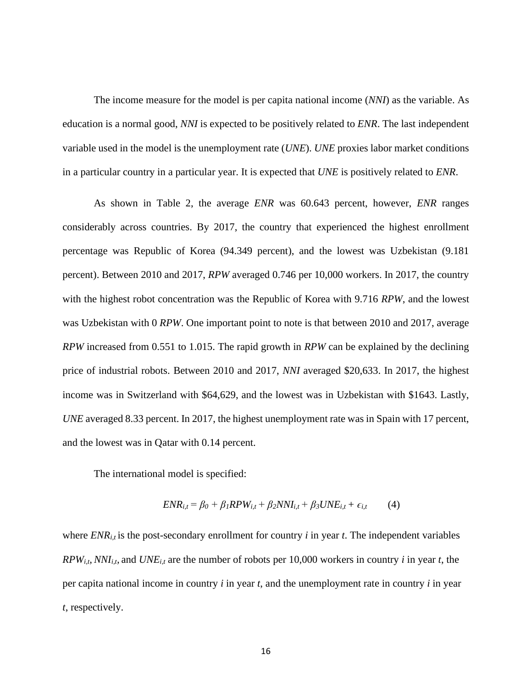The income measure for the model is per capita national income (*NNI*) as the variable. As education is a normal good, *NNI* is expected to be positively related to *ENR*. The last independent variable used in the model is the unemployment rate (*UNE*). *UNE* proxies labor market conditions in a particular country in a particular year. It is expected that *UNE* is positively related to *ENR*.

As shown in Table 2, the average *ENR* was 60.643 percent, however, *ENR* ranges considerably across countries. By 2017, the country that experienced the highest enrollment percentage was Republic of Korea (94.349 percent), and the lowest was Uzbekistan (9.181 percent). Between 2010 and 2017, *RPW* averaged 0.746 per 10,000 workers. In 2017, the country with the highest robot concentration was the Republic of Korea with 9.716 *RPW*, and the lowest was Uzbekistan with 0 *RPW*. One important point to note is that between 2010 and 2017, average *RPW* increased from 0.551 to 1.015. The rapid growth in *RPW* can be explained by the declining price of industrial robots. Between 2010 and 2017, *NNI* averaged \$20,633. In 2017, the highest income was in Switzerland with \$64,629, and the lowest was in Uzbekistan with \$1643. Lastly, *UNE* averaged 8.33 percent. In 2017, the highest unemployment rate was in Spain with 17 percent, and the lowest was in Qatar with 0.14 percent.

The international model is specified:

$$
ENR_{i,t} = \beta_0 + \beta_1 RPW_{i,t} + \beta_2 NNI_{i,t} + \beta_3 UNE_{i,t} + \epsilon_{i,t}
$$
 (4)

where  $ENR_{i,t}$  is the post-secondary enrollment for country *i* in year *t*. The independent variables  $RPW_{i,t}$ , *NNI*<sub>*i*,t</sub>, and *UNE*<sub>*i*,t</sub> are the number of robots per 10,000 workers in country *i* in year *t*, the per capita national income in country *i* in year *t*, and the unemployment rate in country *i* in year *t*, respectively.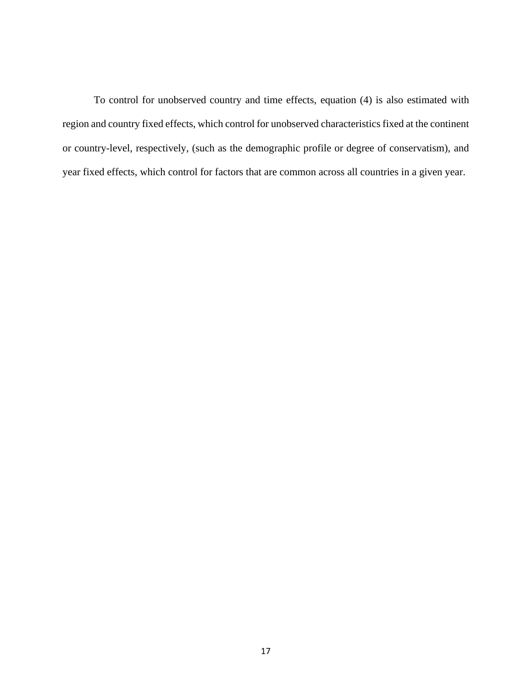<span id="page-24-0"></span>To control for unobserved country and time effects, equation (4) is also estimated with region and country fixed effects, which control for unobserved characteristics fixed at the continent or country-level, respectively, (such as the demographic profile or degree of conservatism), and year fixed effects, which control for factors that are common across all countries in a given year.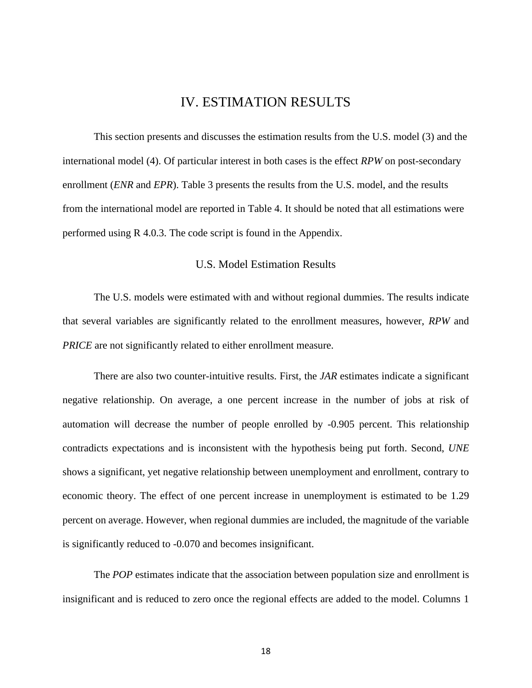### IV. ESTIMATION RESULTS

This section presents and discusses the estimation results from the U.S. model (3) and the international model (4). Of particular interest in both cases is the effect *RPW* on post-secondary enrollment (*ENR* and *EPR*). Table 3 presents the results from the U.S. model, and the results from the international model are reported in Table 4. It should be noted that all estimations were performed using R 4.0.3. The code script is found in the Appendix.

#### U.S. Model Estimation Results

<span id="page-25-0"></span>The U.S. models were estimated with and without regional dummies. The results indicate that several variables are significantly related to the enrollment measures, however, *RPW* and *PRICE* are not significantly related to either enrollment measure.

There are also two counter-intuitive results. First, the *JAR* estimates indicate a significant negative relationship. On average, a one percent increase in the number of jobs at risk of automation will decrease the number of people enrolled by -0.905 percent. This relationship contradicts expectations and is inconsistent with the hypothesis being put forth. Second, *UNE* shows a significant, yet negative relationship between unemployment and enrollment, contrary to economic theory. The effect of one percent increase in unemployment is estimated to be 1.29 percent on average. However, when regional dummies are included, the magnitude of the variable is significantly reduced to -0.070 and becomes insignificant.

The *POP* estimates indicate that the association between population size and enrollment is insignificant and is reduced to zero once the regional effects are added to the model. Columns 1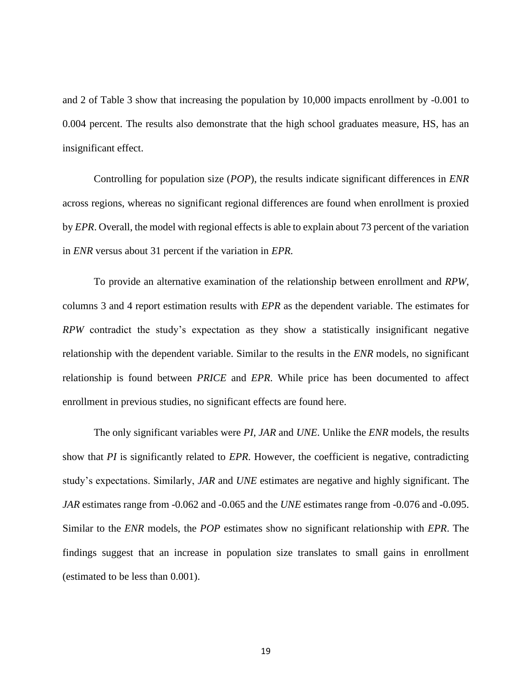and 2 of Table 3 show that increasing the population by 10,000 impacts enrollment by -0.001 to 0.004 percent. The results also demonstrate that the high school graduates measure, HS, has an insignificant effect.

Controlling for population size (*POP*), the results indicate significant differences in *ENR* across regions, whereas no significant regional differences are found when enrollment is proxied by *EPR*. Overall, the model with regional effects is able to explain about 73 percent of the variation in *ENR* versus about 31 percent if the variation in *EPR.*

To provide an alternative examination of the relationship between enrollment and *RPW*, columns 3 and 4 report estimation results with *EPR* as the dependent variable. The estimates for *RPW* contradict the study's expectation as they show a statistically insignificant negative relationship with the dependent variable. Similar to the results in the *ENR* models, no significant relationship is found between *PRICE* and *EPR*. While price has been documented to affect enrollment in previous studies, no significant effects are found here.

The only significant variables were *PI*, *JAR* and *UNE*. Unlike the *ENR* models, the results show that *PI* is significantly related to *EPR*. However, the coefficient is negative, contradicting study's expectations. Similarly, *JAR* and *UNE* estimates are negative and highly significant. The *JAR* estimates range from -0.062 and -0.065 and the *UNE* estimates range from -0.076 and -0.095. Similar to the *ENR* models, the *POP* estimates show no significant relationship with *EPR*. The findings suggest that an increase in population size translates to small gains in enrollment (estimated to be less than 0.001).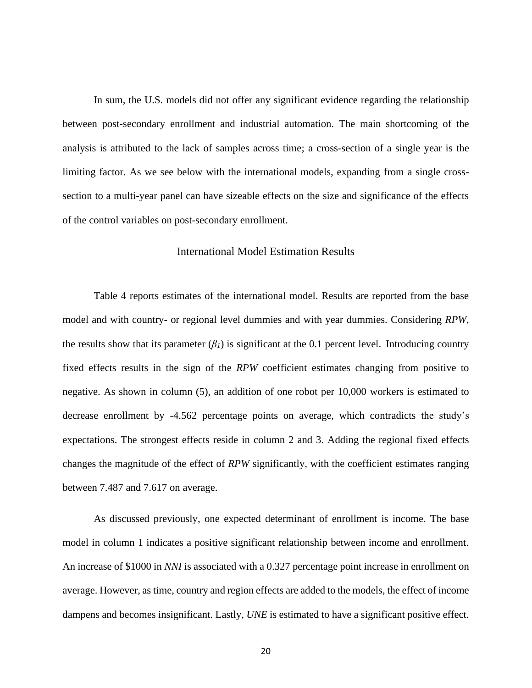In sum, the U.S. models did not offer any significant evidence regarding the relationship between post-secondary enrollment and industrial automation. The main shortcoming of the analysis is attributed to the lack of samples across time; a cross-section of a single year is the limiting factor. As we see below with the international models, expanding from a single crosssection to a multi-year panel can have sizeable effects on the size and significance of the effects of the control variables on post-secondary enrollment.

#### International Model Estimation Results

<span id="page-27-0"></span>Table 4 reports estimates of the international model. Results are reported from the base model and with country- or regional level dummies and with year dummies. Considering *RPW*, the results show that its parameter  $(\beta_I)$  is significant at the 0.1 percent level. Introducing country fixed effects results in the sign of the *RPW* coefficient estimates changing from positive to negative. As shown in column (5), an addition of one robot per 10,000 workers is estimated to decrease enrollment by -4.562 percentage points on average, which contradicts the study's expectations. The strongest effects reside in column 2 and 3. Adding the regional fixed effects changes the magnitude of the effect of *RPW* significantly, with the coefficient estimates ranging between 7.487 and 7.617 on average.

As discussed previously, one expected determinant of enrollment is income. The base model in column 1 indicates a positive significant relationship between income and enrollment. An increase of \$1000 in *NNI* is associated with a 0.327 percentage point increase in enrollment on average. However, as time, country and region effects are added to the models, the effect of income dampens and becomes insignificant. Lastly, *UNE* is estimated to have a significant positive effect.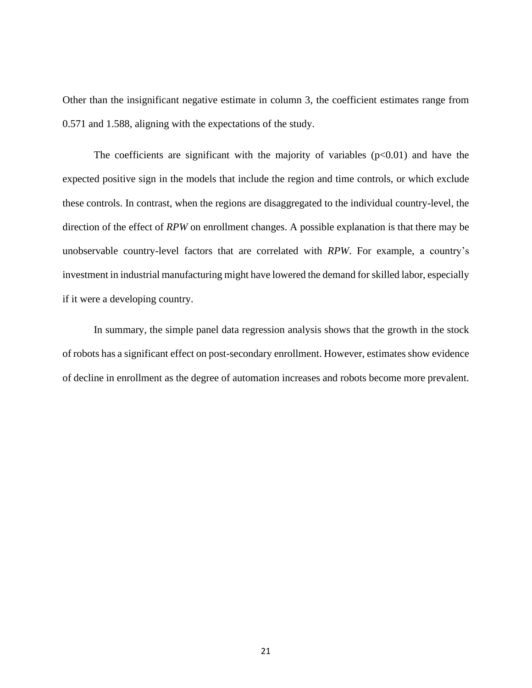Other than the insignificant negative estimate in column 3, the coefficient estimates range from 0.571 and 1.588, aligning with the expectations of the study.

The coefficients are significant with the majority of variables  $(p<0.01)$  and have the expected positive sign in the models that include the region and time controls, or which exclude these controls. In contrast, when the regions are disaggregated to the individual country-level, the direction of the effect of *RPW* on enrollment changes. A possible explanation is that there may be unobservable country-level factors that are correlated with *RPW*. For example, a country's investment in industrial manufacturing might have lowered the demand for skilled labor, especially if it were a developing country.

In summary, the simple panel data regression analysis shows that the growth in the stock of robots has a significant effect on post-secondary enrollment. However, estimates show evidence of decline in enrollment as the degree of automation increases and robots become more prevalent.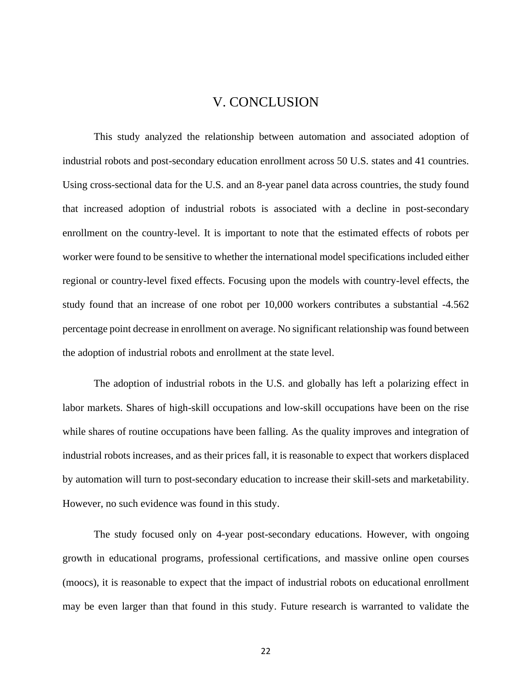### V. CONCLUSION

<span id="page-29-0"></span>This study analyzed the relationship between automation and associated adoption of industrial robots and post-secondary education enrollment across 50 U.S. states and 41 countries. Using cross-sectional data for the U.S. and an 8-year panel data across countries, the study found that increased adoption of industrial robots is associated with a decline in post-secondary enrollment on the country-level. It is important to note that the estimated effects of robots per worker were found to be sensitive to whether the international model specifications included either regional or country-level fixed effects. Focusing upon the models with country-level effects, the study found that an increase of one robot per 10,000 workers contributes a substantial -4.562 percentage point decrease in enrollment on average. No significant relationship was found between the adoption of industrial robots and enrollment at the state level.

The adoption of industrial robots in the U.S. and globally has left a polarizing effect in labor markets. Shares of high-skill occupations and low-skill occupations have been on the rise while shares of routine occupations have been falling. As the quality improves and integration of industrial robots increases, and as their prices fall, it is reasonable to expect that workers displaced by automation will turn to post-secondary education to increase their skill-sets and marketability. However, no such evidence was found in this study.

The study focused only on 4-year post-secondary educations. However, with ongoing growth in educational programs, professional certifications, and massive online open courses (moocs), it is reasonable to expect that the impact of industrial robots on educational enrollment may be even larger than that found in this study. Future research is warranted to validate the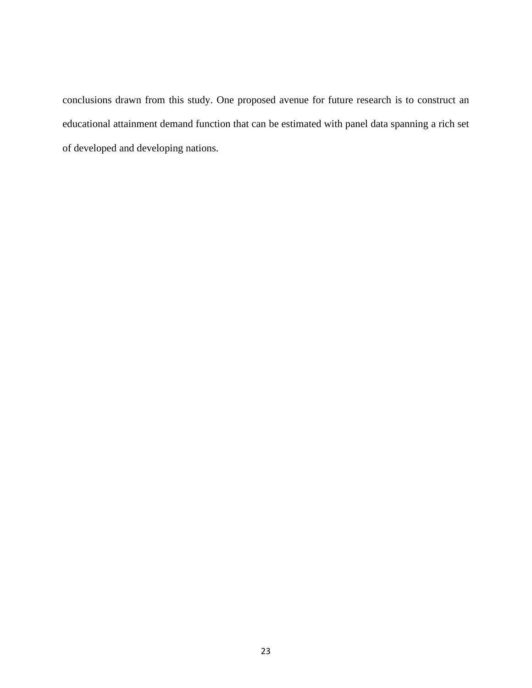conclusions drawn from this study. One proposed avenue for future research is to construct an educational attainment demand function that can be estimated with panel data spanning a rich set of developed and developing nations.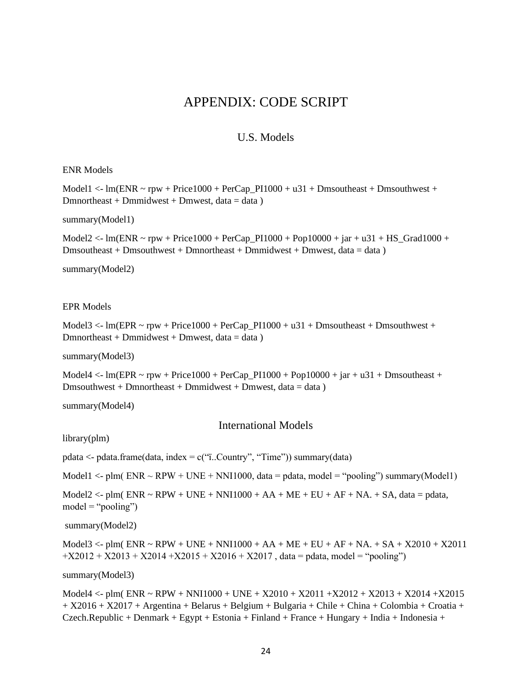## APPENDIX: CODE SCRIPT

#### U.S. Models

#### <span id="page-31-1"></span><span id="page-31-0"></span>ENR Models

Model1  $\lt$ - lm(ENR  $\sim$  rpw + Price1000 + PerCap\_PI1000 + u31 + Dmsoutheast + Dmsouthwest +  $D$ mnortheast + Dmmidwest + Dmwest, data = data )

summary(Model1)

Model2 <- lm(ENR ~ rpw + Price1000 + PerCap\_PI1000 + Pop10000 + jar + u31 + HS\_Grad1000 +  $Dmsoutleast + Dmsouthwest + Dmmortheast + Dmmidwest + Dmmest, data = data)$ 

summary(Model2)

#### EPR Models

Model3  $\lt$ - lm(EPR  $\lt$  rpw + Price1000 + PerCap\_PI1000 + u31 + Dmsoutheast + Dmsouthwest + Dmnortheast + Dmmidwest + Dmwest, data = data)

summary(Model3)

Model4  $\lt$ - lm(EPR  $\lt$  rpw + Price1000 + PerCap\_PI1000 + Pop10000 + jar + u31 + Dmsoutheast +  $Dmsouthwest + Dmmortheast + Dmmidwest + Dmmest, data = data)$ 

summary(Model4)

International Models

<span id="page-31-2"></span>library(plm)

pdata  $\langle$ - pdata.frame(data, index = c("i..Country", "Time")) summary(data)

Model1  $\lt$ - plm( ENR  $\sim$  RPW + UNE + NNI1000, data = pdata, model = "pooling") summary(Model1)

Model2  $\lt$ - plm( ENR  $\lt$  RPW + UNE + NNI1000 + AA + ME + EU + AF + NA. + SA, data = pdata,  $model = "pooling")$ 

summary(Model2)

Model $3 <$ - plm( ENR  $\sim$  RPW + UNE + NNI1000 + AA + ME + EU + AF + NA. + SA + X2010 + X2011  $+X2012 + X2013 + X2014 + X2015 + X2016 + X2017$ , data = pdata, model = "pooling")

summary(Model3)

Model4 <- plm( ENR ~ RPW + NNI1000 + UNE + X2010 + X2011 +X2012 + X2013 + X2014 +X2015 + X2016 + X2017 + Argentina + Belarus + Belgium + Bulgaria + Chile + China + Colombia + Croatia + Czech.Republic + Denmark + Egypt + Estonia + Finland + France + Hungary + India + Indonesia +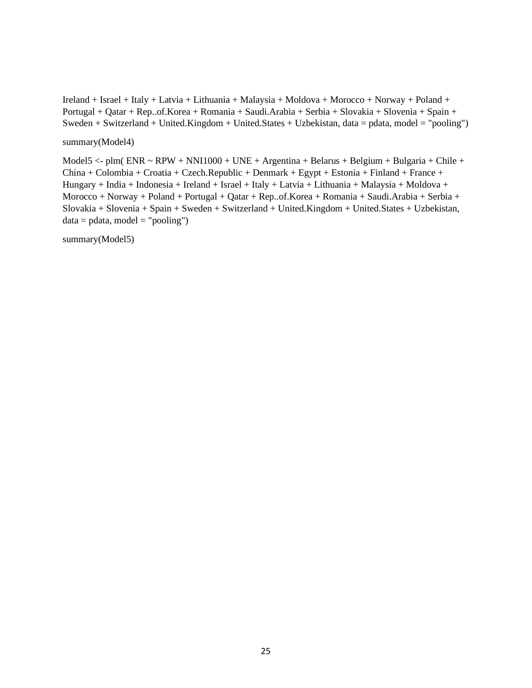Ireland + Israel + Italy + Latvia + Lithuania + Malaysia + Moldova + Morocco + Norway + Poland + Portugal + Qatar + Rep..of.Korea + Romania + Saudi.Arabia + Serbia + Slovakia + Slovenia + Spain + Sweden + Switzerland + United.Kingdom + United.States + Uzbekistan, data = pdata, model = "pooling")

#### summary(Model4)

Model5 <- plm( $ENR \sim RPW + NN11000 + UNE + Argentina + Belarus + Belgium + Bulgaria + Chile +$ China + Colombia + Croatia + Czech.Republic + Denmark + Egypt + Estonia + Finland + France + Hungary + India + Indonesia + Ireland + Israel + Italy + Latvia + Lithuania + Malaysia + Moldova + Morocco + Norway + Poland + Portugal + Qatar + Rep..of.Korea + Romania + Saudi.Arabia + Serbia + Slovakia + Slovenia + Spain + Sweden + Switzerland + United.Kingdom + United.States + Uzbekistan,  $data = pdata$ , model = "pooling")

summary(Model5)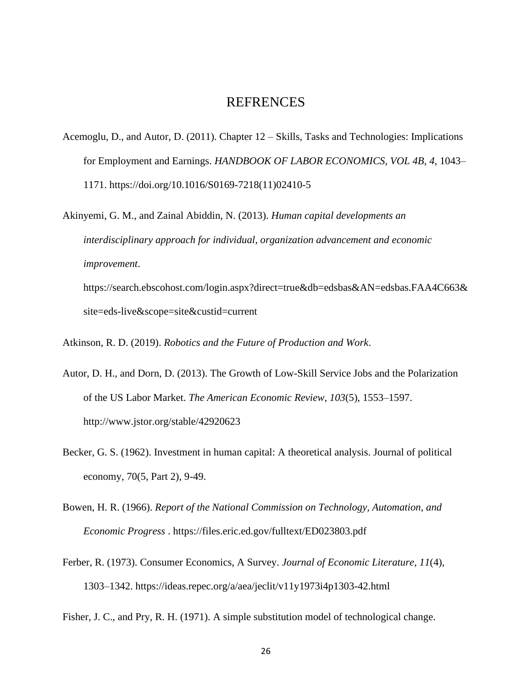#### REFRENCES

<span id="page-33-0"></span>Acemoglu, D., and Autor, D. (2011). Chapter 12 – Skills, Tasks and Technologies: Implications for Employment and Earnings. *HANDBOOK OF LABOR ECONOMICS, VOL 4B*, *4*, 1043– 1171. https://doi.org/10.1016/S0169-7218(11)02410-5

Akinyemi, G. M., and Zainal Abiddin, N. (2013). *Human capital developments an interdisciplinary approach for individual, organization advancement and economic improvement*. https://search.ebscohost.com/login.aspx?direct=true&db=edsbas&AN=edsbas.FAA4C663&

site=eds-live&scope=site&custid=current

Atkinson, R. D. (2019). *Robotics and the Future of Production and Work*.

- Autor, D. H., and Dorn, D. (2013). The Growth of Low-Skill Service Jobs and the Polarization of the US Labor Market. *The American Economic Review*, *103*(5), 1553–1597. http://www.jstor.org/stable/42920623
- Becker, G. S. (1962). Investment in human capital: A theoretical analysis. Journal of political economy, 70(5, Part 2), 9-49.
- Bowen, H. R. (1966). *Report of the National Commission on Technology, Automation, and Economic Progress* . https://files.eric.ed.gov/fulltext/ED023803.pdf
- Ferber, R. (1973). Consumer Economics, A Survey. *Journal of Economic Literature*, *11*(4), 1303–1342. https://ideas.repec.org/a/aea/jeclit/v11y1973i4p1303-42.html

Fisher, J. C., and Pry, R. H. (1971). A simple substitution model of technological change.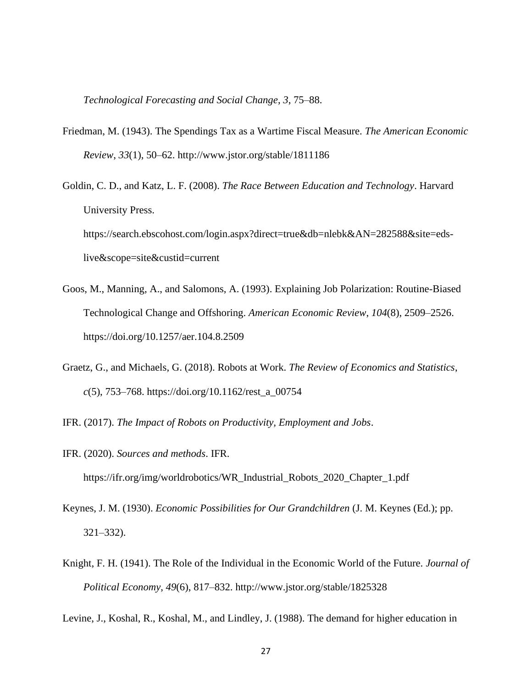*Technological Forecasting and Social Change*, *3*, 75–88.

- Friedman, M. (1943). The Spendings Tax as a Wartime Fiscal Measure. *The American Economic Review*, *33*(1), 50–62. http://www.jstor.org/stable/1811186
- Goldin, C. D., and Katz, L. F. (2008). *The Race Between Education and Technology*. Harvard University Press. https://search.ebscohost.com/login.aspx?direct=true&db=nlebk&AN=282588&site=edslive&scope=site&custid=current
- Goos, M., Manning, A., and Salomons, A. (1993). Explaining Job Polarization: Routine-Biased Technological Change and Offshoring. *American Economic Review*, *104*(8), 2509–2526. https://doi.org/10.1257/aer.104.8.2509
- Graetz, G., and Michaels, G. (2018). Robots at Work. *The Review of Economics and Statistics*, *c*(5), 753–768. https://doi.org/10.1162/rest\_a\_00754
- IFR. (2017). *The Impact of Robots on Productivity, Employment and Jobs*.
- IFR. (2020). *Sources and methods*. IFR. https://ifr.org/img/worldrobotics/WR\_Industrial\_Robots\_2020\_Chapter\_1.pdf
- Keynes, J. M. (1930). *Economic Possibilities for Our Grandchildren* (J. M. Keynes (Ed.); pp. 321–332).
- Knight, F. H. (1941). The Role of the Individual in the Economic World of the Future. *Journal of Political Economy*, *49*(6), 817–832. http://www.jstor.org/stable/1825328

Levine, J., Koshal, R., Koshal, M., and Lindley, J. (1988). The demand for higher education in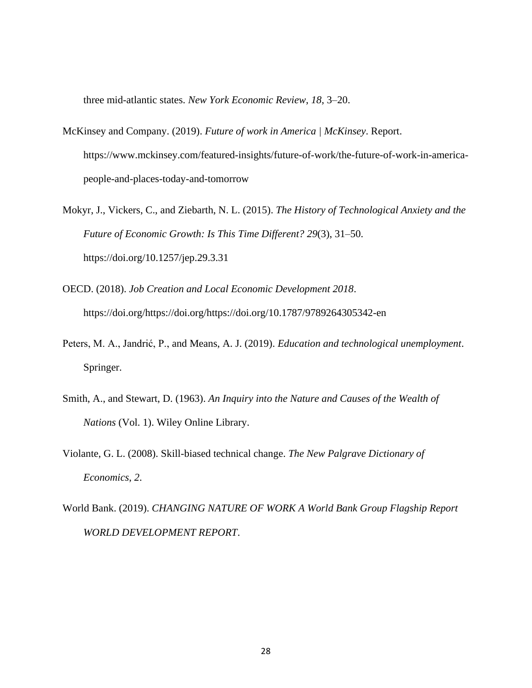three mid-atlantic states. *New York Economic Review*, *18*, 3–20.

- McKinsey and Company. (2019). *Future of work in America | McKinsey*. Report. https://www.mckinsey.com/featured-insights/future-of-work/the-future-of-work-in-americapeople-and-places-today-and-tomorrow
- Mokyr, J., Vickers, C., and Ziebarth, N. L. (2015). *The History of Technological Anxiety and the Future of Economic Growth: Is This Time Different? 29*(3), 31–50. https://doi.org/10.1257/jep.29.3.31
- OECD. (2018). *Job Creation and Local Economic Development 2018*. https://doi.org/https://doi.org/https://doi.org/10.1787/9789264305342-en
- Peters, M. A., Jandrić, P., and Means, A. J. (2019). *Education and technological unemployment*. Springer.
- Smith, A., and Stewart, D. (1963). *An Inquiry into the Nature and Causes of the Wealth of Nations* (Vol. 1). Wiley Online Library.
- Violante, G. L. (2008). Skill-biased technical change. *The New Palgrave Dictionary of Economics*, *2*.
- World Bank. (2019). *CHANGING NATURE OF WORK A World Bank Group Flagship Report WORLD DEVELOPMENT REPORT*.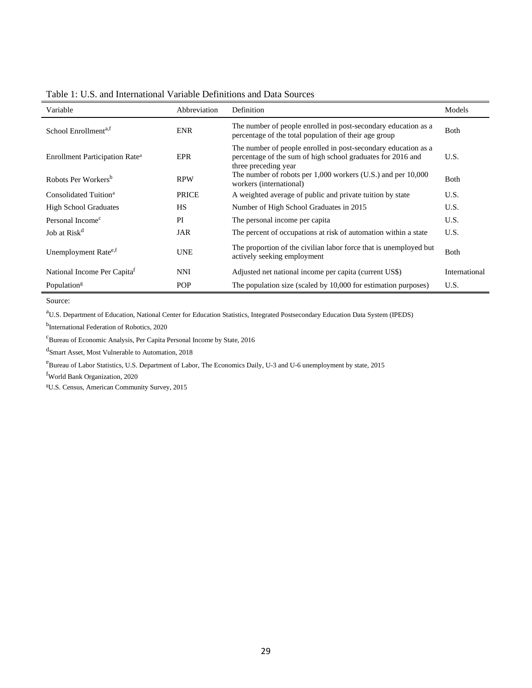| Variable                                   | Abbreviation | Definition                                                                                                                                            | Models        |
|--------------------------------------------|--------------|-------------------------------------------------------------------------------------------------------------------------------------------------------|---------------|
| School Enrollment <sup>a,f</sup>           | <b>ENR</b>   | The number of people enrolled in post-secondary education as a<br>percentage of the total population of their age group                               | <b>Both</b>   |
| Enrollment Participation Rate <sup>a</sup> | EPR          | The number of people enrolled in post-secondary education as a<br>percentage of the sum of high school graduates for 2016 and<br>three preceding year | U.S.          |
| Robots Per Workers <sup>b</sup>            | <b>RPW</b>   | The number of robots per $1,000$ workers (U.S.) and per $10,000$<br>workers (international)                                                           | <b>Both</b>   |
| Consolidated Tuition <sup>a</sup>          | <b>PRICE</b> | A weighted average of public and private tuition by state                                                                                             | U.S.          |
| <b>High School Graduates</b>               | <b>HS</b>    | Number of High School Graduates in 2015                                                                                                               | U.S.          |
| Personal Income <sup>c</sup>               | PI           | The personal income per capita                                                                                                                        | U.S.          |
| Job at Risk <sup>d</sup>                   | JAR          | The percent of occupations at risk of automation within a state                                                                                       | U.S.          |
| Unemployment Rate <sup>e,f</sup>           | <b>UNE</b>   | The proportion of the civilian labor force that is unemployed but<br>actively seeking employment                                                      | <b>B</b> oth  |
| National Income Per Capita <sup>f</sup>    | <b>NNI</b>   | Adjusted net national income per capita (current US\$)                                                                                                | International |
| Population <sup>g</sup>                    | POP          | The population size (scaled by 10,000 for estimation purposes)                                                                                        | U.S.          |

<span id="page-36-0"></span>Table 1: U.S. and International Variable Definitions and Data Sources

Source:

<sup>a</sup>U.S. Department of Education, National Center for Education Statistics, Integrated Postsecondary Education Data System (IPEDS)

b International Federation of Robotics, 2020

 $^{\rm c}$ Bureau of Economic Analysis, Per Capita Personal Income by State, 2016

d Smart Asset, Most Vulnerable to Automation, 2018

<sup>e</sup>Bureau of Labor Statistics, U.S. Department of Labor, The Economics Daily, U-3 and U-6 unemployment by state, 2015

<sup>f</sup>World Bank Organization, 2020

gU.S. Census, American Community Survey, 2015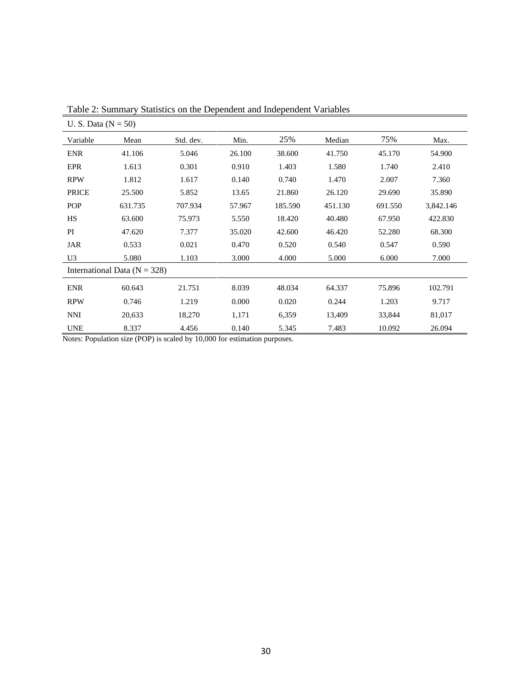| U. S. Data $(N = 50)$ |                                  |           |        |         |         |         |           |
|-----------------------|----------------------------------|-----------|--------|---------|---------|---------|-----------|
| Variable              | Mean                             | Std. dev. | Min.   | 25%     | Median  | 75%     | Max.      |
| <b>ENR</b>            | 41.106                           | 5.046     | 26.100 | 38.600  | 41.750  | 45.170  | 54.900    |
| EPR                   | 1.613                            | 0.301     | 0.910  | 1.403   | 1.580   | 1.740   | 2.410     |
| <b>RPW</b>            | 1.812                            | 1.617     | 0.140  | 0.740   | 1.470   | 2.007   | 7.360     |
| <b>PRICE</b>          | 25.500                           | 5.852     | 13.65  | 21.860  | 26.120  | 29.690  | 35.890    |
| <b>POP</b>            | 631.735                          | 707.934   | 57.967 | 185.590 | 451.130 | 691.550 | 3,842.146 |
| HS                    | 63.600                           | 75.973    | 5.550  | 18.420  | 40.480  | 67.950  | 422.830   |
| PI                    | 47.620                           | 7.377     | 35.020 | 42.600  | 46.420  | 52.280  | 68.300    |
| JAR                   | 0.533                            | 0.021     | 0.470  | 0.520   | 0.540   | 0.547   | 0.590     |
| U3                    | 5.080                            | 1.103     | 3.000  | 4.000   | 5.000   | 6.000   | 7.000     |
|                       | International Data ( $N = 328$ ) |           |        |         |         |         |           |
| <b>ENR</b>            | 60.643                           | 21.751    | 8.039  | 48.034  | 64.337  | 75.896  | 102.791   |
| <b>RPW</b>            | 0.746                            | 1.219     | 0.000  | 0.020   | 0.244   | 1.203   | 9.717     |
| <b>NNI</b>            | 20,633                           | 18,270    | 1,171  | 6,359   | 13,409  | 33,844  | 81,017    |
| <b>UNE</b>            | 8.337                            | 4.456     | 0.140  | 5.345   | 7.483   | 10.092  | 26.094    |

<span id="page-37-0"></span>Table 2: Summary Statistics on the Dependent and Independent Variables

Notes: Population size (POP) is scaled by 10,000 for estimation purposes.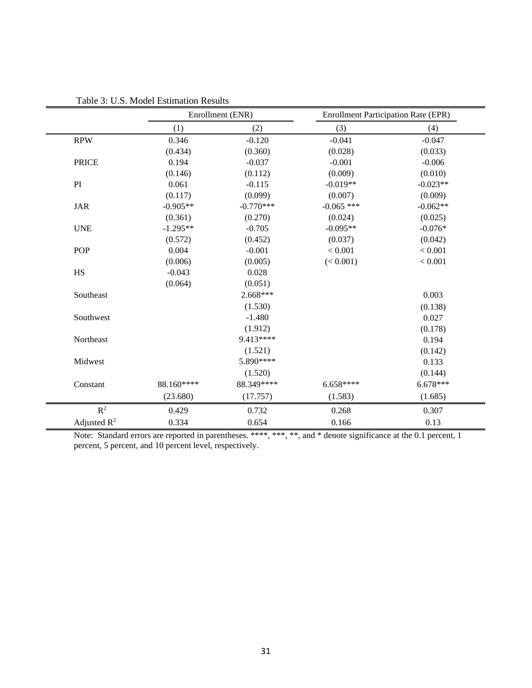|                | Enrollment (ENR) |             | <b>Enrollment Participation Rate (EPR)</b> |            |
|----------------|------------------|-------------|--------------------------------------------|------------|
|                | (1)              | (2)         | (3)                                        | (4)        |
| <b>RPW</b>     | 0.346            | $-0.120$    | $-0.041$                                   | $-0.047$   |
|                | (0.434)          | (0.360)     | (0.028)                                    | (0.033)    |
| <b>PRICE</b>   | 0.194            | $-0.037$    | $-0.001$                                   | $-0.006$   |
|                | (0.146)          | (0.112)     | (0.009)                                    | (0.010)    |
| PI             | 0.061            | $-0.115$    | $-0.019**$                                 | $-0.023**$ |
|                | (0.117)          | (0.099)     | (0.007)                                    | (0.009)    |
| <b>JAR</b>     | $-0.905**$       | $-0.770***$ | $-0.065$ ***                               | $-0.062**$ |
|                | (0.361)          | (0.270)     | (0.024)                                    | (0.025)    |
| <b>UNE</b>     | $-1.295**$       | $-0.705$    | $-0.095**$                                 | $-0.076*$  |
|                | (0.572)          | (0.452)     | (0.037)                                    | (0.042)    |
| POP            | 0.004            | $-0.001$    | < 0.001                                    | < 0.001    |
|                | (0.006)          | (0.005)     | (< 0.001)                                  | < 0.001    |
| HS             | $-0.043$         | 0.028       |                                            |            |
|                | (0.064)          | (0.051)     |                                            |            |
| Southeast      |                  | $2.668***$  |                                            | 0.003      |
|                |                  | (1.530)     |                                            | (0.138)    |
| Southwest      |                  | $-1.480$    |                                            | 0.027      |
|                |                  | (1.912)     |                                            | (0.178)    |
| Northeast      |                  | 9.413****   |                                            | 0.194      |
|                |                  | (1.521)     |                                            | (0.142)    |
| Midwest        |                  | 5.890****   |                                            | 0.133      |
|                |                  | (1.520)     |                                            | (0.144)    |
| Constant       | 88.160****       | 88.349****  | 6.658****                                  | $6.678***$ |
|                | (23.680)         | (17.757)    | (1.583)                                    | (1.685)    |
| $\mathbb{R}^2$ | 0.429            | 0.732       | 0.268                                      | 0.307      |
| Adjusted $R^2$ | 0.334            | 0.654       | 0.166                                      | 0.13       |

<span id="page-38-0"></span>Table 3: U.S. Model Estimation Results

Note: Standard errors are reported in parentheses. \*\*\*\*, \*\*\*, \*\*, and \* denote significance at the 0.1 percent, 1 percent, 5 percent, and 10 percent level, respectively.